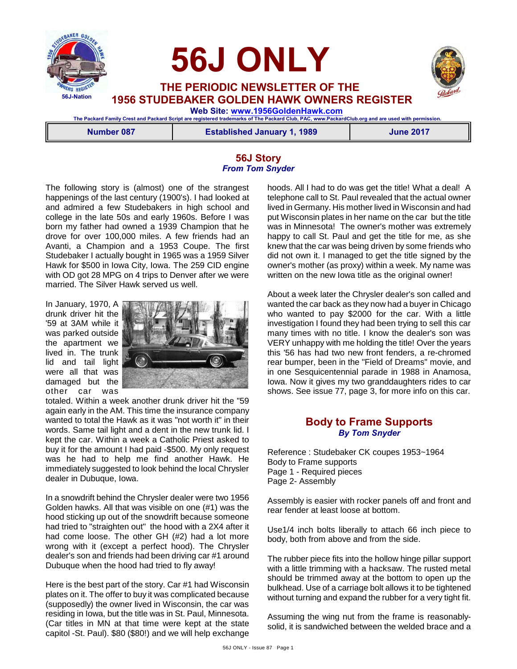

 **56J ONLY**

 **THE PERIODIC NEWSLETTER OF THE 1956 STUDEBAKER GOLDEN HAWK OWNERS REGISTER**

 **Web Site: [www.1956GoldenHawk.com](http://www.1956GoldenHawk.com) The Packard Family Crest and Packard Script are registered trademarks of The Packard Club, PAC, www.PackardClub.org and are used with permission.** 

**Number 087 Established January 1, 1989 June 2017**

# **56J Story** *From Tom Snyder*

The following story is (almost) one of the strangest happenings of the last century (1900's). I had looked at and admired a few Studebakers in high school and college in the late 50s and early 1960s. Before I was born my father had owned a 1939 Champion that he drove for over 100,000 miles. A few friends had an Avanti, a Champion and a 1953 Coupe. The first Studebaker I actually bought in 1965 was a 1959 Silver Hawk for \$500 in Iowa City, Iowa. The 259 CID engine with OD got 28 MPG on 4 trips to Denver after we were married. The Silver Hawk served us well.

In January, 1970, A drunk driver hit the '59 at 3AM while it was parked outside the apartment we lived in. The trunk lid and tail light were all that was damaged but the other car was



totaled. Within a week another drunk driver hit the "59 again early in the AM. This time the insurance company wanted to total the Hawk as it was "not worth it" in their words. Same tail light and a dent in the new trunk lid. I kept the car. Within a week a Catholic Priest asked to buy it for the amount I had paid -\$500. My only request was he had to help me find another Hawk. He immediately suggested to look behind the local Chrysler dealer in Dubuque, Iowa.

In a snowdrift behind the Chrysler dealer were two 1956 Golden hawks. All that was visible on one (#1) was the hood sticking up out of the snowdrift because someone had tried to "straighten out" the hood with a 2X4 after it had come loose. The other GH (#2) had a lot more wrong with it (except a perfect hood). The Chrysler dealer's son and friends had been driving car #1 around Dubuque when the hood had tried to fly away!

Here is the best part of the story. Car #1 had Wisconsin plates on it. The offer to buy it was complicated because (supposedly) the owner lived in Wisconsin, the car was residing in Iowa, but the title was in St. Paul, Minnesota. (Car titles in MN at that time were kept at the state capitol -St. Paul). \$80 (\$80!) and we will help exchange

hoods. All I had to do was get the title! What a deal! A telephone call to St. Paul revealed that the actual owner lived in Germany. His mother lived in Wisconsin and had put Wisconsin plates in her name on the car but the title was in Minnesota! The owner's mother was extremely happy to call St. Paul and get the title for me, as she knew that the car was being driven by some friends who did not own it. I managed to get the title signed by the owner's mother (as proxy) within a week. My name was written on the new Iowa title as the original owner!

About a week later the Chrysler dealer's son called and wanted the car back as they now had a buyer in Chicago who wanted to pay \$2000 for the car. With a little investigation I found they had been trying to sell this car many times with no title. I know the dealer's son was VERY unhappy with me holding the title! Over the years this '56 has had two new front fenders, a re-chromed rear bumper, been in the "Field of Dreams" movie, and in one Sesquicentennial parade in 1988 in Anamosa, Iowa. Now it gives my two granddaughters rides to car shows. See issue 77, page 3, for more info on this car.

# **Body to Frame Supports** *By Tom Snyder*

Reference : Studebaker CK coupes 1953~1964 Body to Frame supports Page 1 - Required pieces Page 2- Assembly

Assembly is easier with rocker panels off and front and rear fender at least loose at bottom.

Use1/4 inch bolts liberally to attach 66 inch piece to body, both from above and from the side.

The rubber piece fits into the hollow hinge pillar support with a little trimming with a hacksaw. The rusted metal should be trimmed away at the bottom to open up the bulkhead. Use of a carriage bolt allows it to be tightened without turning and expand the rubber for a very tight fit.

Assuming the wing nut from the frame is reasonablysolid, it is sandwiched between the welded brace and a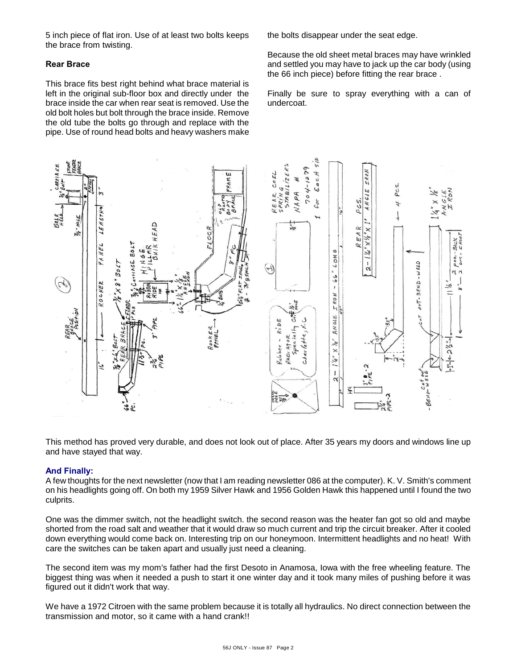5 inch piece of flat iron. Use of at least two bolts keeps the brace from twisting.

# **Rear Brace**

This brace fits best right behind what brace material is left in the original sub-floor box and directly under the brace inside the car when rear seat is removed. Use the old bolt holes but bolt through the brace inside. Remove the old tube the bolts go through and replace with the pipe. Use of round head bolts and heavy washers make the bolts disappear under the seat edge.

Because the old sheet metal braces may have wrinkled and settled you may have to jack up the car body (using the 66 inch piece) before fitting the rear brace .

Finally be sure to spray everything with a can of undercoat.



This method has proved very durable, and does not look out of place. After 35 years my doors and windows line up and have stayed that way.

### **And Finally:**

A few thoughts for the next newsletter (now that I am reading newsletter 086 at the computer). K. V. Smith's comment on his headlights going off. On both my 1959 Silver Hawk and 1956 Golden Hawk this happened until I found the two culprits.

One was the dimmer switch, not the headlight switch. the second reason was the heater fan got so old and maybe shorted from the road salt and weather that it would draw so much current and trip the circuit breaker. After it cooled down everything would come back on. Interesting trip on our honeymoon. Intermittent headlights and no heat! With care the switches can be taken apart and usually just need a cleaning.

The second item was my mom's father had the first Desoto in Anamosa, Iowa with the free wheeling feature. The biggest thing was when it needed a push to start it one winter day and it took many miles of pushing before it was figured out it didn't work that way.

We have a 1972 Citroen with the same problem because it is totally all hydraulics. No direct connection between the transmission and motor, so it came with a hand crank!!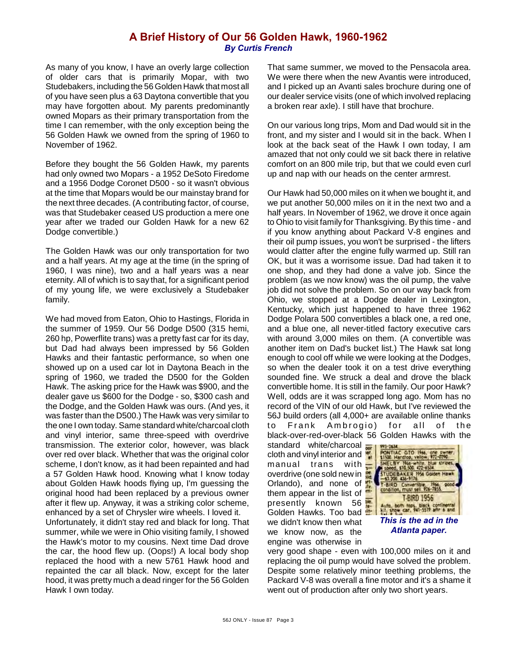# **A Brief History of Our 56 Golden Hawk, 1960-1962** *By Curtis French*

As many of you know, I have an overly large collection of older cars that is primarily Mopar, with two Studebakers, including the 56 Golden Hawk that most all of you have seen plus a 63 Daytona convertible that you may have forgotten about. My parents predominantly owned Mopars as their primary transportation from the time I can remember, with the only exception being the 56 Golden Hawk we owned from the spring of 1960 to November of 1962.

Before they bought the 56 Golden Hawk, my parents had only owned two Mopars - a 1952 DeSoto Firedome and a 1956 Dodge Coronet D500 - so it wasn't obvious at the time that Mopars would be our mainstay brand for the next three decades. (A contributing factor, of course, was that Studebaker ceased US production a mere one year after we traded our Golden Hawk for a new 62 Dodge convertible.)

The Golden Hawk was our only transportation for two and a half years. At my age at the time (in the spring of 1960, I was nine), two and a half years was a near eternity. All of which is to say that, for a significant period of my young life, we were exclusively a Studebaker family.

We had moved from Eaton, Ohio to Hastings, Florida in the summer of 1959. Our 56 Dodge D500 (315 hemi, 260 hp, Powerflite trans) was a pretty fast car for its day, but Dad had always been impressed by 56 Golden Hawks and their fantastic performance, so when one showed up on a used car lot in Daytona Beach in the spring of 1960, we traded the D500 for the Golden Hawk. The asking price for the Hawk was \$900, and the dealer gave us \$600 for the Dodge - so, \$300 cash and the Dodge, and the Golden Hawk was ours. (And yes, it was faster than the D500.) The Hawk was very similar to the one I own today. Same standard white/charcoal cloth and vinyl interior, same three-speed with overdrive transmission. The exterior color, however, was black over red over black. Whether that was the original color scheme, I don't know, as it had been repainted and had a 57 Golden Hawk hood. Knowing what I know today about Golden Hawk hoods flying up, I'm guessing the original hood had been replaced by a previous owner after it flew up. Anyway, it was a striking color scheme, enhanced by a set of Chrysler wire wheels. I loved it.

Unfortunately, it didn't stay red and black for long. That summer, while we were in Ohio visiting family, I showed the Hawk's motor to my cousins. Next time Dad drove the car, the hood flew up. (Oops!) A local body shop replaced the hood with a new 5761 Hawk hood and repainted the car all black. Now, except for the later hood, it was pretty much a dead ringer for the 56 Golden Hawk I own today.

That same summer, we moved to the Pensacola area. We were there when the new Avantis were introduced, and I picked up an Avanti sales brochure during one of our dealer service visits (one of which involved replacing a broken rear axle). I still have that brochure.

On our various long trips, Mom and Dad would sit in the front, and my sister and I would sit in the back. When I look at the back seat of the Hawk I own today, I am amazed that not only could we sit back there in relative comfort on an 800 mile trip, but that we could even curl up and nap with our heads on the center armrest.

Our Hawk had 50,000 miles on it when we bought it, and we put another 50,000 miles on it in the next two and a half years. In November of 1962, we drove it once again to Ohio to visit family for Thanksgiving. By this time - and if you know anything about Packard V-8 engines and their oil pump issues, you won't be surprised - the lifters would clatter after the engine fully warmed up. Still ran OK, but it was a worrisome issue. Dad had taken it to one shop, and they had done a valve job. Since the problem (as we now know) was the oil pump, the valve job did not solve the problem. So on our way back from Ohio, we stopped at a Dodge dealer in Lexington, Kentucky, which just happened to have three 1962 Dodge Polara 500 convertibles a black one, a red one, and a blue one, all never-titled factory executive cars with around 3,000 miles on them. (A convertible was another item on Dad's bucket list.) The Hawk sat long enough to cool off while we were looking at the Dodges, so when the dealer took it on a test drive everything sounded fine. We struck a deal and drove the black convertible home. It is still in the family. Our poor Hawk? Well, odds are it was scrapped long ago. Mom has no record of the VIN of our old Hawk, but I've reviewed the 56J build orders (all 4,000+ are available online thanks to Frank Ambrogio) for all of the black-over-red-over-black 56 Golden Hawks with the

standard white/charcoal cloth and vinyl interior and  $\frac{1}{2}$  manual trans with manual trans overdrive (one sold new in Orlando), and none of them appear in the list of presently known 56 Golden Hawks. Too bad we didn't know then what we know now, as the engine was otherwise in



*Atlanta paper.*

very good shape - even with 100,000 miles on it and replacing the oil pump would have solved the problem. Despite some relatively minor teething problems, the Packard V-8 was overall a fine motor and it's a shame it went out of production after only two short years.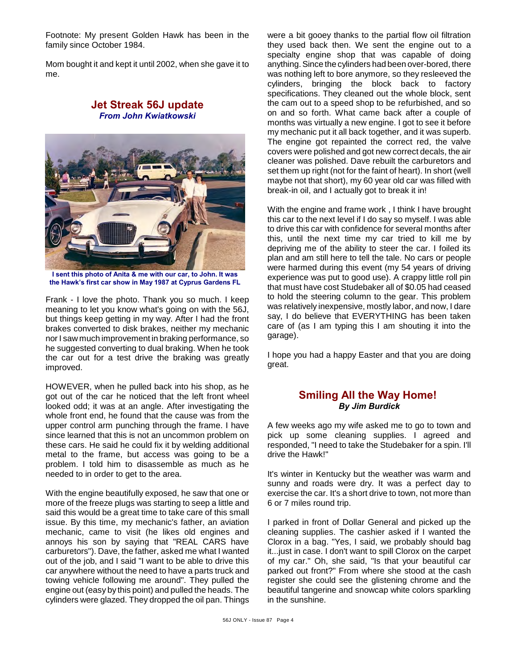Footnote: My present Golden Hawk has been in the family since October 1984.

Mom bought it and kept it until 2002, when she gave it to me.

# **Jet Streak 56J update** *From John Kwiatkowski*



**I sent this photo of Anita & me with our car, to John. It was the Hawk's first car show in May 1987 at Cyprus Gardens FL**

Frank - I love the photo. Thank you so much. I keep meaning to let you know what's going on with the 56J, but things keep getting in my way. After I had the front brakes converted to disk brakes, neither my mechanic nor I saw much improvement in braking performance, so he suggested converting to dual braking. When he took the car out for a test drive the braking was greatly improved.

HOWEVER, when he pulled back into his shop, as he got out of the car he noticed that the left front wheel looked odd; it was at an angle. After investigating the whole front end, he found that the cause was from the upper control arm punching through the frame. I have since learned that this is not an uncommon problem on these cars. He said he could fix it by welding additional metal to the frame, but access was going to be a problem. I told him to disassemble as much as he needed to in order to get to the area.

With the engine beautifully exposed, he saw that one or more of the freeze plugs was starting to seep a little and said this would be a great time to take care of this small issue. By this time, my mechanic's father, an aviation mechanic, came to visit (he likes old engines and annoys his son by saying that "REAL CARS have carburetors"). Dave, the father, asked me what I wanted out of the job, and I said "I want to be able to drive this car anywhere without the need to have a parts truck and towing vehicle following me around". They pulled the engine out (easy by this point) and pulled the heads. The cylinders were glazed. They dropped the oil pan. Things were a bit gooey thanks to the partial flow oil filtration they used back then. We sent the engine out to a specialty engine shop that was capable of doing anything. Since the cylinders had been over-bored, there was nothing left to bore anymore, so they resleeved the cylinders, bringing the block back to factory specifications. They cleaned out the whole block, sent the cam out to a speed shop to be refurbished, and so on and so forth. What came back after a couple of months was virtually a new engine. I got to see it before my mechanic put it all back together, and it was superb. The engine got repainted the correct red, the valve covers were polished and got new correct decals, the air cleaner was polished. Dave rebuilt the carburetors and set them up right (not for the faint of heart). In short (well maybe not that short), my 60 year old car was filled with break-in oil, and I actually got to break it in!

With the engine and frame work , I think I have brought this car to the next level if I do say so myself. I was able to drive this car with confidence for several months after this, until the next time my car tried to kill me by depriving me of the ability to steer the car. I foiled its plan and am still here to tell the tale. No cars or people were harmed during this event (my 54 years of driving experience was put to good use). A crappy little roll pin that must have cost Studebaker all of \$0.05 had ceased to hold the steering column to the gear. This problem was relatively inexpensive, mostly labor, and now, I dare say, I do believe that EVERYTHING has been taken care of (as I am typing this I am shouting it into the garage).

I hope you had a happy Easter and that you are doing great.

# **Smiling All the Way Home!**  *By Jim Burdick*

A few weeks ago my wife asked me to go to town and pick up some cleaning supplies. I agreed and responded, "I need to take the Studebaker for a spin. I'll drive the Hawk!"

It's winter in Kentucky but the weather was warm and sunny and roads were dry. It was a perfect day to exercise the car. It's a short drive to town, not more than 6 or 7 miles round trip.

I parked in front of Dollar General and picked up the cleaning supplies. The cashier asked if I wanted the Clorox in a bag. "Yes, I said, we probably should bag it...just in case. I don't want to spill Clorox on the carpet of my car." Oh, she said, "Is that your beautiful car parked out front?" From where she stood at the cash register she could see the glistening chrome and the beautiful tangerine and snowcap white colors sparkling in the sunshine.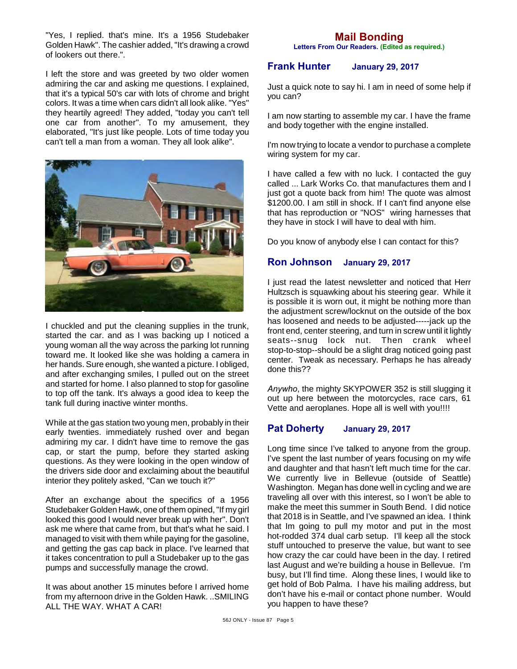"Yes, I replied. that's mine. It's a 1956 Studebaker Golden Hawk". The cashier added, "It's drawing a crowd of lookers out there.".

I left the store and was greeted by two older women admiring the car and asking me questions. I explained, that it's a typical 50's car with lots of chrome and bright colors. It was a time when cars didn't all look alike. "Yes" they heartily agreed! They added, "today you can't tell one car from another". To my amusement, they elaborated, "It's just like people. Lots of time today you can't tell a man from a woman. They all look alike".



I chuckled and put the cleaning supplies in the trunk, started the car. and as I was backing up I noticed a young woman all the way across the parking lot running toward me. It looked like she was holding a camera in her hands. Sure enough, she wanted a picture. I obliged, and after exchanging smiles, I pulled out on the street and started for home. I also planned to stop for gasoline to top off the tank. It's always a good idea to keep the tank full during inactive winter months.

While at the gas station two young men, probably in their early twenties. immediately rushed over and began admiring my car. I didn't have time to remove the gas cap, or start the pump, before they started asking questions. As they were looking in the open window of the drivers side door and exclaiming about the beautiful interior they politely asked, "Can we touch it?"

After an exchange about the specifics of a 1956 Studebaker Golden Hawk, one of them opined, "If my girl looked this good I would never break up with her". Don't ask me where that came from, but that's what he said. I managed to visit with them while paying for the gasoline, and getting the gas cap back in place. I've learned that it takes concentration to pull a Studebaker up to the gas pumps and successfully manage the crowd.

It was about another 15 minutes before I arrived home from my afternoon drive in the Golden Hawk. ..SMILING ALL THE WAY. WHAT A CAR!

# **Mail Bonding**

**Letters From Our Readers. (Edited as required.)**

### **Frank Hunter January 29, 2017**

Just a quick note to say hi. I am in need of some help if you can?

I am now starting to assemble my car. I have the frame and body together with the engine installed.

I'm now trying to locate a vendor to purchase a complete wiring system for my car.

I have called a few with no luck. I contacted the guy called ... Lark Works Co. that manufactures them and I just got a quote back from him! The quote was almost \$1200.00. I am still in shock. If I can't find anyone else that has reproduction or "NOS" wiring harnesses that they have in stock I will have to deal with him.

Do you know of anybody else I can contact for this?

# **Ron Johnson January 29, 2017**

I just read the latest newsletter and noticed that Herr Hultzsch is squawking about his steering gear. While it is possible it is worn out, it might be nothing more than the adjustment screw/locknut on the outside of the box has loosened and needs to be adjusted-----jack up the front end, center steering, and turn in screw until it lightly seats--snug lock nut. Then crank wheel stop-to-stop--should be a slight drag noticed going past center. Tweak as necessary. Perhaps he has already done this??

*Anywho*, the mighty SKYPOWER 352 is still slugging it out up here between the motorcycles, race cars, 61 Vette and aeroplanes. Hope all is well with you!!!!

### **Pat Doherty January 29, 2017**

Long time since I've talked to anyone from the group. I've spent the last number of years focusing on my wife and daughter and that hasn't left much time for the car. We currently live in Bellevue (outside of Seattle) Washington. Megan has done well in cycling and we are traveling all over with this interest, so I won't be able to make the meet this summer in South Bend. I did notice that 2018 is in Seattle, and I've spawned an idea. I think that Im going to pull my motor and put in the most hot-rodded 374 dual carb setup. I'll keep all the stock stuff untouched to preserve the value, but want to see how crazy the car could have been in the day. I retired last August and we're building a house in Bellevue. I'm busy, but I'll find time. Along these lines, I would like to get hold of Bob Palma. I have his mailing address, but don't have his e-mail or contact phone number. Would you happen to have these?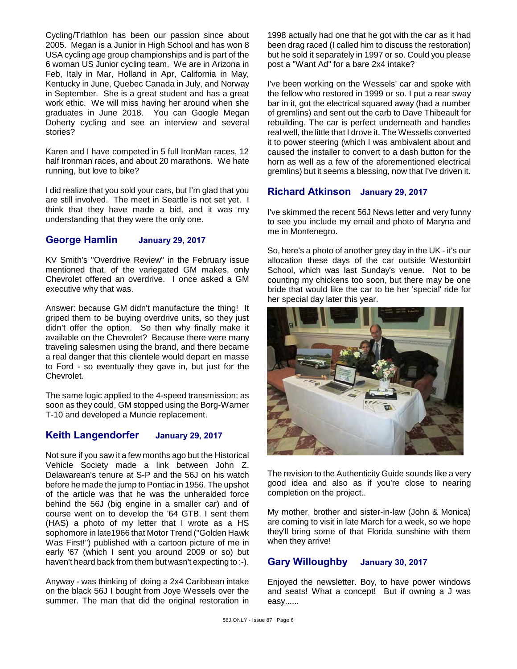Cycling/Triathlon has been our passion since about 2005. Megan is a Junior in High School and has won 8 USA cycling age group championships and is part of the 6 woman US Junior cycling team. We are in Arizona in Feb, Italy in Mar, Holland in Apr, California in May, Kentucky in June, Quebec Canada in July, and Norway in September. She is a great student and has a great work ethic. We will miss having her around when she graduates in June 2018. You can Google Megan Doherty cycling and see an interview and several stories?

Karen and I have competed in 5 full IronMan races, 12 half Ironman races, and about 20 marathons. We hate running, but love to bike?

I did realize that you sold your cars, but I'm glad that you are still involved. The meet in Seattle is not set yet. I think that they have made a bid, and it was my understanding that they were the only one.

### **George Hamlin January 29, 2017**

KV Smith's "Overdrive Review" in the February issue mentioned that, of the variegated GM makes, only Chevrolet offered an overdrive. I once asked a GM executive why that was.

Answer: because GM didn't manufacture the thing! It griped them to be buying overdrive units, so they just didn't offer the option. So then why finally make it available on the Chevrolet? Because there were many traveling salesmen using the brand, and there became a real danger that this clientele would depart en masse to Ford - so eventually they gave in, but just for the Chevrolet.

The same logic applied to the 4-speed transmission; as soon as they could, GM stopped using the Borg-Warner T-10 and developed a Muncie replacement.

### **Keith Langendorfer January 29, 2017**

Not sure if you saw it a few months ago but the Historical Vehicle Society made a link between John Z. Delawarean's tenure at S-P and the 56J on his watch before he made the jump to Pontiac in 1956. The upshot of the article was that he was the unheralded force behind the 56J (big engine in a smaller car) and of course went on to develop the '64 GTB. I sent them (HAS) a photo of my letter that I wrote as a HS sophomore in late1966 that Motor Trend ("Golden Hawk Was First!") published with a cartoon picture of me in early '67 (which I sent you around 2009 or so) but haven't heard back from them but wasn't expecting to :-).

Anyway - was thinking of doing a 2x4 Caribbean intake on the black 56J I bought from Joye Wessels over the summer. The man that did the original restoration in

1998 actually had one that he got with the car as it had been drag raced (I called him to discuss the restoration) but he sold it separately in 1997 or so. Could you please post a "Want Ad" for a bare 2x4 intake?

I've been working on the Wessels' car and spoke with the fellow who restored in 1999 or so. I put a rear sway bar in it, got the electrical squared away (had a number of gremlins) and sent out the carb to Dave Thibeault for rebuilding. The car is perfect underneath and handles real well, the little that I drove it. The Wessells converted it to power steering (which I was ambivalent about and caused the installer to convert to a dash button for the horn as well as a few of the aforementioned electrical gremlins) but it seems a blessing, now that I've driven it.

### **Richard Atkinson January 29, 2017**

I've skimmed the recent 56J News letter and very funny to see you include my email and photo of Maryna and me in Montenegro.

So, here's a photo of another grey day in the UK - it's our allocation these days of the car outside Westonbirt School, which was last Sunday's venue. Not to be counting my chickens too soon, but there may be one bride that would like the car to be her 'special' ride for her special day later this year.



The revision to the Authenticity Guide sounds like a very good idea and also as if you're close to nearing completion on the project..

My mother, brother and sister-in-law (John & Monica) are coming to visit in late March for a week, so we hope they'll bring some of that Florida sunshine with them when they arrive!

# **Gary Willoughby January 30, 2017**

Enjoyed the newsletter. Boy, to have power windows and seats! What a concept! But if owning a J was easy......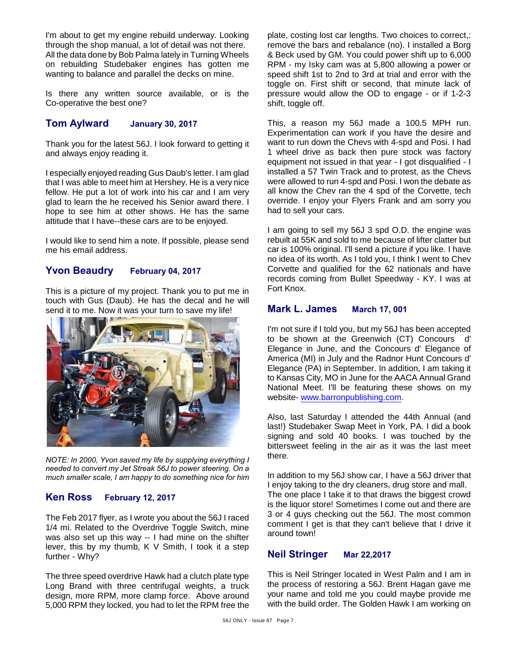I'm about to get my engine rebuild underway. Looking through the shop manual, a lot of detail was not there. All the data done by Bob Palma lately in Turning Wheels on rebuilding Studebaker engines has gotten me wanting to balance and parallel the decks on mine.

Is there any written source available, or is the Co-operative the best one?

### **Tom Aylward January 30, 2017**

Thank you for the latest 56J. I look forward to getting it and always enjoy reading it.

I especially enjoyed reading Gus Daub's letter. I am glad that I was able to meet him at Hershey. He is a very nice fellow. He put a lot of work into his car and I am very glad to learn the he received his Senior award there. I hope to see him at other shows. He has the same attitude that I have--these cars are to be enjoyed.

I would like to send him a note. If possible, please send me his email address.

## **Yvon Beaudry February 04, 2017**

This is a picture of my project. Thank you to put me in touch with Gus (Daub). He has the decal and he will send it to me. Now it was your turn to save my life!



*NOTE: In 2000, Yvon saved my life by supplying everything I needed to convert my Jet Streak 56J to power steering. On a much smaller scale, I am happy to do something nice for him* 

# **Ken Ross February 12, 2017**

The Feb 2017 flyer, as I wrote you about the 56J I raced 1/4 mi. Related to the Overdrive Toggle Switch, mine was also set up this way -- I had mine on the shifter lever, this by my thumb, K V Smith, I took it a step further - Why?

The three speed overdrive Hawk had a clutch plate type Long Brand with three centrifugal weights, a truck design, more RPM, more clamp force. Above around 5,000 RPM they locked, you had to let the RPM free the plate, costing lost car lengths. Two choices to correct,: remove the bars and rebalance (no). I installed a Borg & Beck used by GM. You could power shift up to 6,000 RPM - my Isky cam was at 5,800 allowing a power or speed shift 1st to 2nd to 3rd at trial and error with the toggle on. First shift or second, that minute lack of pressure would allow the OD to engage - or if 1-2-3 shift, toggle off.

This, a reason my 56J made a 100.5 MPH run. Experimentation can work if you have the desire and want to run down the Chevs with 4-spd and Posi. I had 1 wheel drive as back then pure stock was factory equipment not issued in that year - I got disqualified - I installed a 57 Twin Track and to protest, as the Chevs were allowed to run 4-spd and Posi. I won the debate as all know the Chev ran the 4 spd of the Corvette, tech override. I enjoy your Flyers Frank and am sorry you had to sell your cars.

I am going to sell my 56J 3 spd O.D. the engine was rebuilt at 55K and sold to me because of lifter clatter but car is 100% original. I'll send a picture if you like. I have no idea of its worth. As I told you, I think I went to Chev Corvette and qualified for the 62 nationals and have records coming from Bullet Speedway - KY. I was at Fort Knox.

# **Mark L. James March 17, 001**

I'm not sure if I told you, but my 56J has been accepted to be shown at the Greenwich (CT) Concours d' Elegance in June, and the Concours d' Elegance of America (MI) in July and the Radnor Hunt Concours d' Elegance (PA) in September. In addition, I am taking it to Kansas City, MO in June for the AACA Annual Grand National Meet. I'll be featuring these shows on my website- [www.barronpublishing.com](http://www.barronpublishing.com).

Also, last Saturday I attended the 44th Annual (and last!) Studebaker Swap Meet in York, PA. I did a book signing and sold 40 books. I was touched by the bittersweet feeling in the air as it was the last meet there.

In addition to my 56J show car, I have a 56J driver that I enjoy taking to the dry cleaners, drug store and mall. The one place I take it to that draws the biggest crowd is the liquor store! Sometimes I come out and there are 3 or 4 guys checking out the 56J. The most common comment I get is that they can't believe that I drive it around town!

# **Neil Stringer Mar 22,2017**

This is Neil Stringer located in West Palm and I am in the process of restoring a 56J. Brent Hagan gave me your name and told me you could maybe provide me with the build order. The Golden Hawk I am working on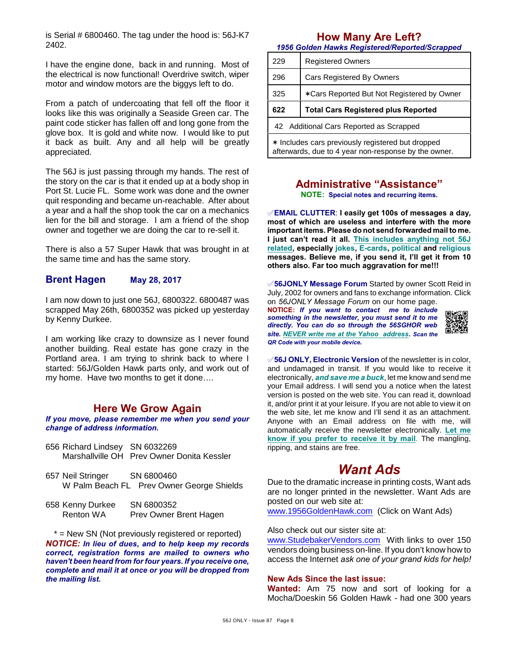is Serial # 6800460. The tag under the hood is: 56J-K7 2402.

I have the engine done, back in and running. Most of the electrical is now functional! Overdrive switch, wiper motor and window motors are the biggys left to do.

From a patch of undercoating that fell off the floor it looks like this was originally a Seaside Green car. The paint code sticker has fallen off and long gone from the glove box. It is gold and white now. I would like to put it back as built. Any and all help will be greatly appreciated.

The 56J is just passing through my hands. The rest of the story on the car is that it ended up at a body shop in Port St. Lucie FL. Some work was done and the owner quit responding and became un-reachable. After about a year and a half the shop took the car on a mechanics lien for the bill and storage. I am a friend of the shop owner and together we are doing the car to re-sell it.

There is also a 57 Super Hawk that was brought in at the same time and has the same story.

### **Brent Hagen May 28, 2017**

I am now down to just one 56J, 6800322. 6800487 was scrapped May 26th, 6800352 was picked up yesterday by Kenny Durkee.

I am working like crazy to downsize as I never found another building. Real estate has gone crazy in the Portland area. I am trying to shrink back to where I started: 56J/Golden Hawk parts only, and work out of my home. Have two months to get it done….

# **Here We Grow Again**

*If you move, please remember me when you send your change of address information.*

- 656 Richard Lindsey SN 6032269 Marshallville OH Prev Owner Donita Kessler
- 657 Neil Stringer SN 6800460 W Palm Beach FL Prev Owner George Shields
- 658 Kenny Durkee SN 6800352 Renton WA Prev Owner Brent Hagen

\* = New SN (Not previously registered or reported) *NOTICE: In lieu of dues, and to help keep my records correct, registration forms are mailed to owners who haven't been heard from for four years. If you receive one, complete and mail it at once or you will be dropped from the mailing list.*

# **How Many Are Left?**

*1956 Golden Hawks Registered/Reported/Scrapped*

| 229 | <b>Registered Owners</b>                   |  |
|-----|--------------------------------------------|--|
| 296 | <b>Cars Registered By Owners</b>           |  |
| 325 | *Cars Reported But Not Registered by Owner |  |
|     | <b>Total Cars Registered plus Reported</b> |  |
| 622 |                                            |  |
|     | 42 Additional Cars Reported as Scrapped    |  |

# **Administrative "Assistance"**

**NOTE: Special notes and recurring items.**

°**EMAIL CLUTTER**: **I easily get 100s of messages a day, most of which are useless and interfere with the more important items. Please do not send forwarded mail to me. I just can't read it all. This includes anything not 56J related, especially jokes, E-cards, political and religious messages. Believe me, if you send it, I'll get it from 10 others also. Far too much aggravation for me!!!**

°**56JONLY Message Forum** Started by owner Scott Reid in July, 2002 for owners and fans to exchange information. Click on *56JONLY Message Forum* on our home page.

**NOTICE:** *If you want to contact me to include something in the newsletter, you must send it to me directly. You can do so through the 56SGHOR web site. NEVER write me at the Yahoo address. Scan the QR Code with your mobile device.* 



°**56J ONLY, Electronic Version** of the newsletter is in color, and undamaged in transit. If you would like to receive it electronically, *and save me a buck*, let me know and send me your Email address. I will send you a notice when the latest version is posted on the web site. You can read it, download it, and/or print it at your leisure. If you are not able to view it on the web site, let me know and I'll send it as an attachment. Anyone with an Email address on file with me, will automatically receive the newsletter electronically. **Let me know if you prefer to receive it by mail**. The mangling, ripping, and stains are free.

# *Want Ads*

Due to the dramatic increase in printing costs, Want ads are no longer printed in the newsletter. Want Ads are posted on our web site at:

[www.1956GoldenHawk.com](http://www.1956GoldenHawk.com) (Click on Want Ads)

#### Also check out our sister site at:

[www.StudebakerVendors.com](http://www.StudebakerVendors.com) With links to over 150 vendors doing business on-line. If you don't know how to access the Internet *ask one of your grand kids for help!*

### **New Ads Since the last issue:**

**Wanted:** Am 75 now and sort of looking for a Mocha/Doeskin 56 Golden Hawk - had one 300 years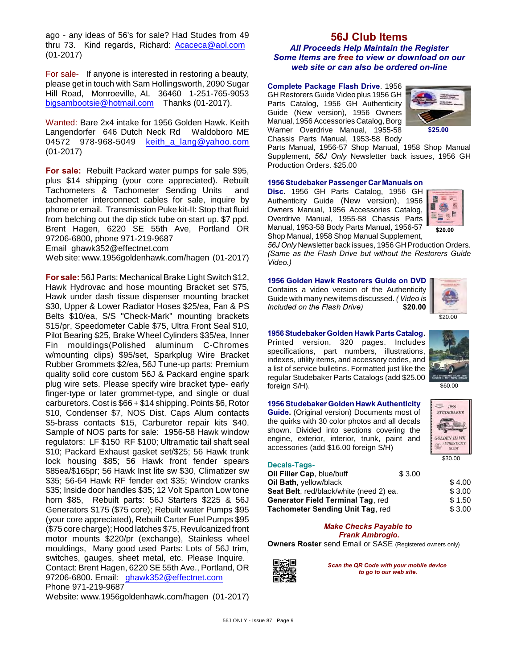ago - any ideas of 56's for sale? Had Studes from 49 thru 73. Kind regards, Richard: [Acaceca@aol.com](mailto:Acaceca@aol.com) (01-2017)

For sale- If anyone is interested in restoring a beauty, please get in touch with Sam Hollingsworth, 2090 Sugar Hill Road, Monroeville, AL 36460 1-251-765-9053 [bigsambootsie@hotmail.com](mailto:bigsambootsie@hotmail.com) Thanks (01-2017).

Wanted: Bare 2x4 intake for 1956 Golden Hawk. Keith Langendorfer 646 Dutch Neck Rd Waldoboro ME 04572 978-968-5049 keith a lang@yahoo.com (01-2017)

**For sale:** Rebuilt Packard water pumps for sale \$95, plus \$14 shipping (your core appreciated). Rebuilt Tachometers & Tachometer Sending Units and tachometer interconnect cables for sale, inquire by phone or email. Transmission Puke kit-II: Stop that fluid from belching out the dip stick tube on start up. \$7 ppd. Brent Hagen, 6220 SE 55th Ave, Portland OR 97206-6800, phone 971-219-9687

Email ghawk352@effectnet.com

Web site: www.1956goldenhawk.com/hagen (01-2017)

**For sale:** 56J Parts: Mechanical Brake Light Switch \$12, Hawk Hydrovac and hose mounting Bracket set \$75, Hawk under dash tissue dispenser mounting bracket \$30, Upper & Lower Radiator Hoses \$25/ea, Fan & PS Belts \$10/ea, S/S "Check-Mark" mounting brackets \$15/pr, Speedometer Cable \$75, Ultra Front Seal \$10, Pilot Bearing \$25, Brake Wheel Cylinders \$35/ea, Inner Fin mouldings(Polished aluminum C-Chromes w/mounting clips) \$95/set, Sparkplug Wire Bracket Rubber Grommets \$2/ea, 56J Tune-up parts: Premium quality solid core custom 56J & Packard engine spark plug wire sets. Please specify wire bracket type- early finger-type or later grommet-type, and single or dual carburetors. Cost is \$66 + \$14 shipping. Points \$6, Rotor \$10, Condenser \$7, NOS Dist. Caps Alum contacts \$5-brass contacts \$15, Carburetor repair kits \$40. Sample of NOS parts for sale: 1956-58 Hawk window regulators: LF \$150 RF \$100; Ultramatic tail shaft seal \$10; Packard Exhaust gasket set/\$25; 56 Hawk trunk lock housing \$85; 56 Hawk front fender spears \$85ea/\$165pr; 56 Hawk Inst lite sw \$30, Climatizer sw \$35; 56-64 Hawk RF fender ext \$35; Window cranks \$35; Inside door handles \$35; 12 Volt Sparton Low tone horn \$85, Rebuilt parts: 56J Starters \$225 & 56J Generators \$175 (\$75 core); Rebuilt water Pumps \$95 (your core appreciated), Rebuilt Carter Fuel Pumps \$95 (\$75 core charge); Hood latches \$75, Revulcanized front motor mounts \$220/pr (exchange), Stainless wheel mouldings, Many good used Parts: Lots of 56J trim, switches, gauges, sheet metal, etc. Please Inquire. Contact: Brent Hagen, 6220 SE 55th Ave., Portland, OR 97206-6800. Email: [ghawk352@effectnet.com](mailto:ghawk352@effectnet.com) Phone 971-219-9687

Website: www.1956goldenhawk.com/hagen (01-2017)

### **56J Club Items** *All Proceeds Help Maintain the Register Some Items are free to view or download on our*

*web site or can also be ordered on-line*

**Complete Package Flash Drive**. 1956 GH Restorers Guide Video plus 1956 GH Parts Catalog, 1956 GH Authenticity Guide (New version), 1956 Owners Manual, 1956 Accessories Catalog, Borg Warner Overdrive Manual, 1955-58 Chassis Parts Manual, 1953-58 Body



Parts Manual, 1956-57 Shop Manual, 1958 Shop Manual Supplement, *56J Only* Newsletter back issues, 1956 GH Production Orders. \$25.00

#### **1956 Studebaker Passenger Car Manuals on**

**Disc.** 1956 GH Parts Catalog, 1956 GH Authenticity Guide (New version), 1956 Owners Manual, 1956 Accessories Catalog, Overdrive Manual, 1955-58 Chassis Parts Manual, 1953-58 Body Parts Manual, 1956-57 Shop Manual, 1958 Shop Manual Supplement,



*56J Only* Newsletter back issues, 1956 GH Production Orders. *(Same as the Flash Drive but without the Restorers Guide Video.)*

**1956 Golden Hawk Restorers Guide on DVD** Contains a video version of the Authenticity Guide with many new items discussed. *( Video is* **Included on the Flash Drive)** 



 $$20.00$ 

#### **1956 Studebaker Golden Hawk Parts Catalog.** Printed version, 320 pages. Includes specifications, part numbers, illustrations, indexes, utility items, and accessory codes, and a list of service bulletins. Formatted just like the regular Studebaker Parts Catalogs (add \$25.00 foreign S/H).

#### **1956 Studebaker Golden Hawk Authenticity**

**Guide.** (Original version) Documents most of the quirks with 30 color photos and all decals shown. Divided into sections covering the engine, exterior, interior, trunk, paint and accessories (add \$16.00 foreign S/H)



\$60.00

### **Decals-Tags-**

| \$3.00                                   |        |
|------------------------------------------|--------|
|                                          | \$4.00 |
| Seat Belt, red/black/white (need 2) ea.  |        |
| <b>Generator Field Terminal Tag. red</b> |        |
| <b>Tachometer Sending Unit Tag, red</b>  |        |
|                                          |        |

#### *Make Checks Payable to Frank Ambrogio.*

**Owners Roster** send Email or SASE (Registered owners only)



*Scan the QR Code with your mobile device to go to our web site.*